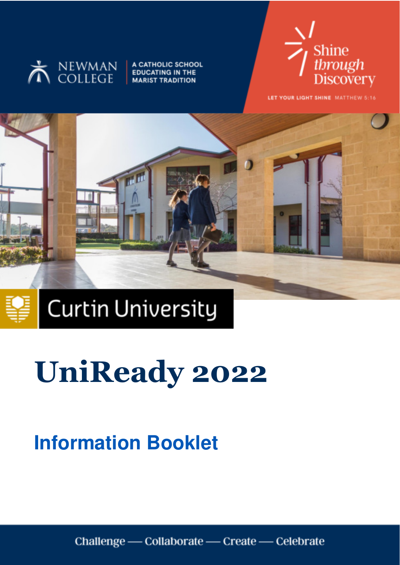

A CATHOLIC SCHOOL **EDUCATING IN THE MARIST TRADITION** 



LET YOUR LIGHT SHINE MATTHEW 5:16



**Curtin University** 

# **Information Booklet**

Challenge — Collaborate — Create — Celebrate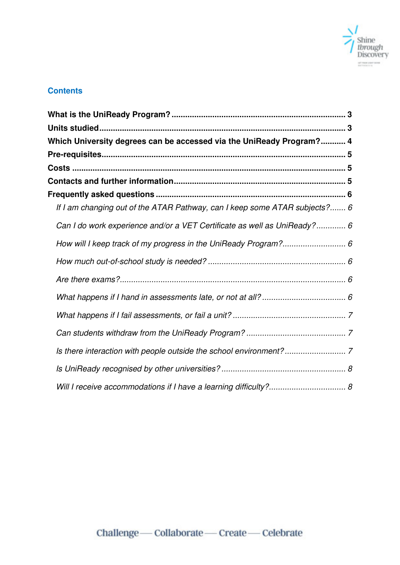

# **Contents**

| Which University degrees can be accessed via the UniReady Program? 4       |
|----------------------------------------------------------------------------|
|                                                                            |
|                                                                            |
|                                                                            |
|                                                                            |
| If I am changing out of the ATAR Pathway, can I keep some ATAR subjects? 6 |
| Can I do work experience and/or a VET Certificate as well as UniReady? 6   |
|                                                                            |
|                                                                            |
|                                                                            |
|                                                                            |
|                                                                            |
|                                                                            |
|                                                                            |
|                                                                            |
|                                                                            |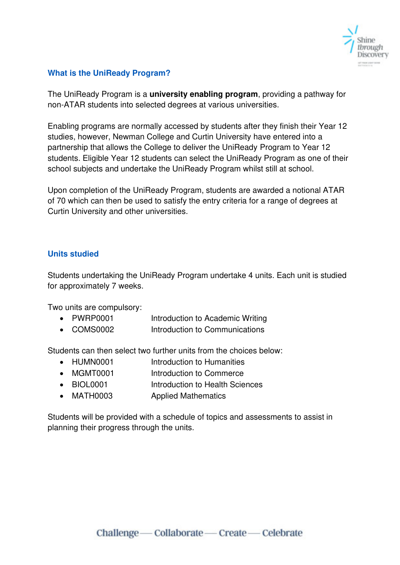

# <span id="page-2-0"></span>**What is the UniReady Program?**

The UniReady Program is a **university enabling program**, providing a pathway for non-ATAR students into selected degrees at various universities.

Enabling programs are normally accessed by students after they finish their Year 12 studies, however, Newman College and Curtin University have entered into a partnership that allows the College to deliver the UniReady Program to Year 12 students. Eligible Year 12 students can select the UniReady Program as one of their school subjects and undertake the UniReady Program whilst still at school.

Upon completion of the UniReady Program, students are awarded a notional ATAR of 70 which can then be used to satisfy the entry criteria for a range of degrees at Curtin University and other universities.

#### <span id="page-2-1"></span>**Units studied**

Students undertaking the UniReady Program undertake 4 units. Each unit is studied for approximately 7 weeks.

Two units are compulsory:

- PWRP0001 Introduction to Academic Writing
- COMS0002 Introduction to Communications

Students can then select two further units from the choices below:

- HUMN0001 Introduction to Humanities
- MGMT0001 Introduction to Commerce
- BIOL0001 Introduction to Health Sciences
- MATH0003 **Applied Mathematics**

Students will be provided with a schedule of topics and assessments to assist in planning their progress through the units.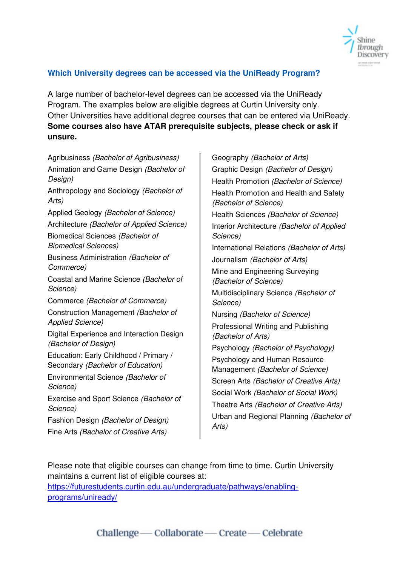

# <span id="page-3-0"></span>**Which University degrees can be accessed via the UniReady Program?**

A large number of bachelor-level degrees can be accessed via the UniReady Program. The examples below are eligible degrees at Curtin University only. Other Universities have additional degree courses that can be entered via UniReady. **Some courses also have ATAR prerequisite subjects, please check or ask if unsure.** 

Agribusiness (Bachelor of Agribusiness) Animation and Game Design (Bachelor of Design) Anthropology and Sociology (Bachelor of Arts) Applied Geology (Bachelor of Science) Architecture (Bachelor of Applied Science) Biomedical Sciences (Bachelor of Biomedical Sciences) Business Administration (Bachelor of Commerce) Coastal and Marine Science (Bachelor of Science) Commerce (Bachelor of Commerce) Construction Management (Bachelor of Applied Science) Digital Experience and Interaction Design (Bachelor of Design) Education: Early Childhood / Primary / Secondary (Bachelor of Education) Environmental Science (Bachelor of Science) Exercise and Sport Science (Bachelor of Science) Fashion Design (Bachelor of Design) Fine Arts (Bachelor of Creative Arts)

Geography (Bachelor of Arts) Graphic Design (Bachelor of Design) Health Promotion (Bachelor of Science) Health Promotion and Health and Safety (Bachelor of Science) Health Sciences (Bachelor of Science) Interior Architecture (Bachelor of Applied Science) International Relations (Bachelor of Arts) Journalism (Bachelor of Arts) Mine and Engineering Surveying (Bachelor of Science) Multidisciplinary Science (Bachelor of Science) Nursing (Bachelor of Science) Professional Writing and Publishing (Bachelor of Arts) Psychology (Bachelor of Psychology) Psychology and Human Resource Management (Bachelor of Science) Screen Arts (Bachelor of Creative Arts) Social Work (Bachelor of Social Work) Theatre Arts (Bachelor of Creative Arts) Urban and Regional Planning (Bachelor of Arts)

Please note that eligible courses can change from time to time. Curtin University maintains a current list of eligible courses at:

[https://futurestudents.curtin.edu.au/undergraduate/pathways/enabling](https://futurestudents.curtin.edu.au/undergraduate/pathways/enabling-programs/uniready/)[programs/uniready/](https://futurestudents.curtin.edu.au/undergraduate/pathways/enabling-programs/uniready/)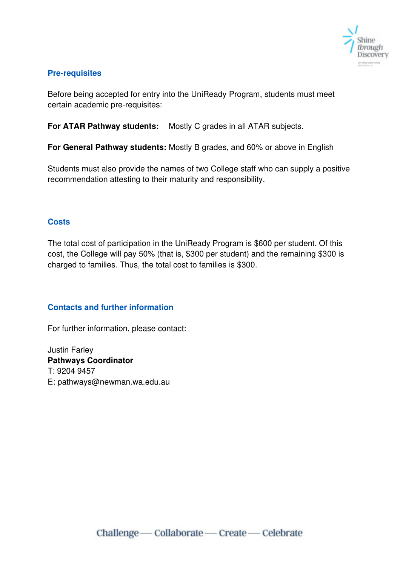

# <span id="page-4-0"></span>**Pre-requisites**

Before being accepted for entry into the UniReady Program, students must meet certain academic pre-requisites:

**For ATAR Pathway students:** Mostly C grades in all ATAR subjects.

**For General Pathway students:** Mostly B grades, and 60% or above in English

Students must also provide the names of two College staff who can supply a positive recommendation attesting to their maturity and responsibility.

# <span id="page-4-1"></span>**Costs**

The total cost of participation in the UniReady Program is \$600 per student. Of this cost, the College will pay 50% (that is, \$300 per student) and the remaining \$300 is charged to families. Thus, the total cost to families is \$300.

# <span id="page-4-2"></span>**Contacts and further information**

For further information, please contact:

Justin Farley **Pathways Coordinator** T: 9204 9457 E: pathways@newman.wa.edu.au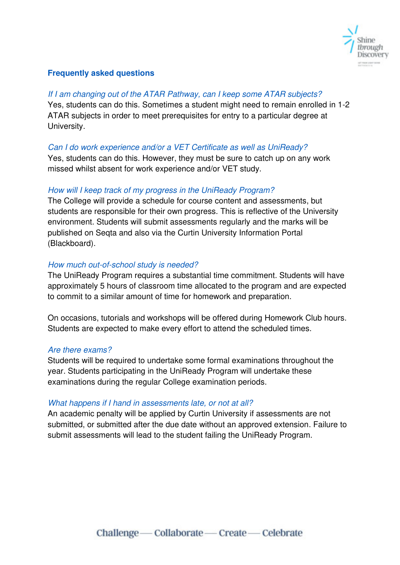

#### <span id="page-5-0"></span>**Frequently asked questions**

#### <span id="page-5-1"></span>If I am changing out of the ATAR Pathway, can I keep some ATAR subjects?

Yes, students can do this. Sometimes a student might need to remain enrolled in 1-2 ATAR subjects in order to meet prerequisites for entry to a particular degree at University.

# <span id="page-5-2"></span>Can I do work experience and/or a VET Certificate as well as UniReady?

Yes, students can do this. However, they must be sure to catch up on any work missed whilst absent for work experience and/or VET study.

#### <span id="page-5-3"></span>How will I keep track of my progress in the UniReady Program?

The College will provide a schedule for course content and assessments, but students are responsible for their own progress. This is reflective of the University environment. Students will submit assessments regularly and the marks will be published on Seqta and also via the Curtin University Information Portal (Blackboard).

# <span id="page-5-4"></span>How much out-of-school study is needed?

The UniReady Program requires a substantial time commitment. Students will have approximately 5 hours of classroom time allocated to the program and are expected to commit to a similar amount of time for homework and preparation.

On occasions, tutorials and workshops will be offered during Homework Club hours. Students are expected to make every effort to attend the scheduled times.

#### <span id="page-5-5"></span>Are there exams?

Students will be required to undertake some formal examinations throughout the year. Students participating in the UniReady Program will undertake these examinations during the regular College examination periods.

#### <span id="page-5-6"></span>What happens if I hand in assessments late, or not at all?

An academic penalty will be applied by Curtin University if assessments are not submitted, or submitted after the due date without an approved extension. Failure to submit assessments will lead to the student failing the UniReady Program.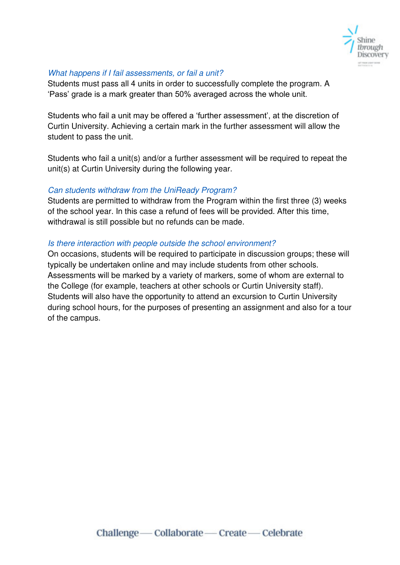

#### <span id="page-6-0"></span>What happens if I fail assessments, or fail a unit?

Students must pass all 4 units in order to successfully complete the program. A 'Pass' grade is a mark greater than 50% averaged across the whole unit.

Students who fail a unit may be offered a 'further assessment', at the discretion of Curtin University. Achieving a certain mark in the further assessment will allow the student to pass the unit.

Students who fail a unit(s) and/or a further assessment will be required to repeat the unit(s) at Curtin University during the following year.

# <span id="page-6-1"></span>Can students withdraw from the UniReady Program?

Students are permitted to withdraw from the Program within the first three (3) weeks of the school year. In this case a refund of fees will be provided. After this time, withdrawal is still possible but no refunds can be made.

# <span id="page-6-2"></span>Is there interaction with people outside the school environment?

On occasions, students will be required to participate in discussion groups; these will typically be undertaken online and may include students from other schools. Assessments will be marked by a variety of markers, some of whom are external to the College (for example, teachers at other schools or Curtin University staff). Students will also have the opportunity to attend an excursion to Curtin University during school hours, for the purposes of presenting an assignment and also for a tour of the campus.